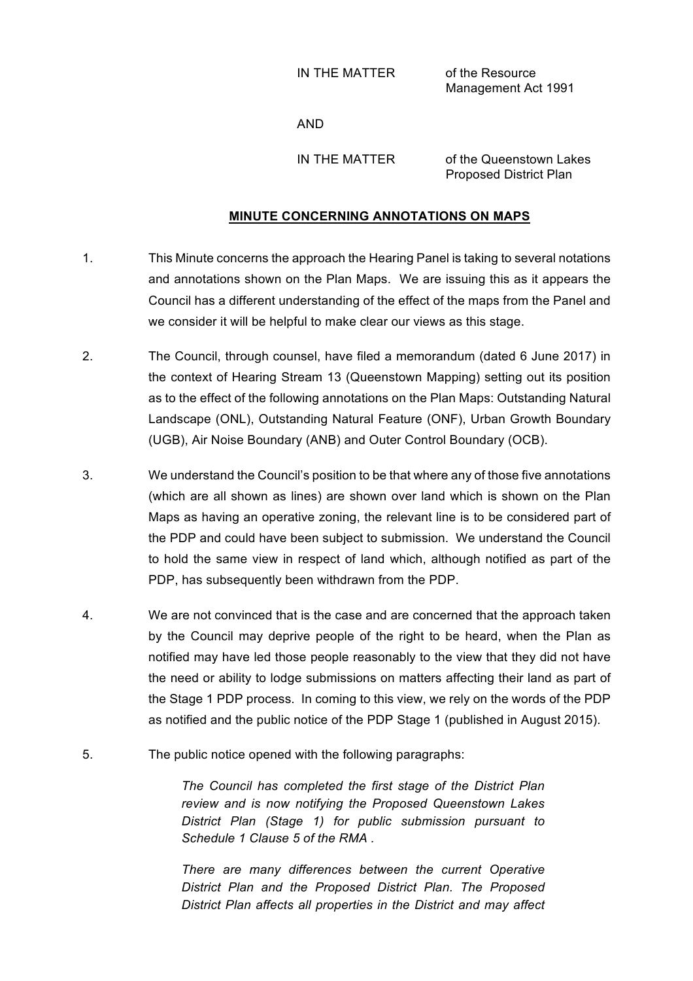IN THE MATTER of the Resource

Management Act 1991

AND

IN THE MATTER of the Queenstown Lakes Proposed District Plan

## **MINUTE CONCERNING ANNOTATIONS ON MAPS**

- 1. This Minute concerns the approach the Hearing Panel is taking to several notations and annotations shown on the Plan Maps. We are issuing this as it appears the Council has a different understanding of the effect of the maps from the Panel and we consider it will be helpful to make clear our views as this stage.
- 2. The Council, through counsel, have filed a memorandum (dated 6 June 2017) in the context of Hearing Stream 13 (Queenstown Mapping) setting out its position as to the effect of the following annotations on the Plan Maps: Outstanding Natural Landscape (ONL), Outstanding Natural Feature (ONF), Urban Growth Boundary (UGB), Air Noise Boundary (ANB) and Outer Control Boundary (OCB).
- 3. We understand the Council's position to be that where any of those five annotations (which are all shown as lines) are shown over land which is shown on the Plan Maps as having an operative zoning, the relevant line is to be considered part of the PDP and could have been subject to submission. We understand the Council to hold the same view in respect of land which, although notified as part of the PDP, has subsequently been withdrawn from the PDP.
- 4. We are not convinced that is the case and are concerned that the approach taken by the Council may deprive people of the right to be heard, when the Plan as notified may have led those people reasonably to the view that they did not have the need or ability to lodge submissions on matters affecting their land as part of the Stage 1 PDP process. In coming to this view, we rely on the words of the PDP as notified and the public notice of the PDP Stage 1 (published in August 2015).
- 5. The public notice opened with the following paragraphs:

*The Council has completed the first stage of the District Plan review and is now notifying the Proposed Queenstown Lakes District Plan (Stage 1) for public submission pursuant to Schedule 1 Clause 5 of the RMA .* 

*There are many differences between the current Operative District Plan and the Proposed District Plan. The Proposed District Plan affects all properties in the District and may affect*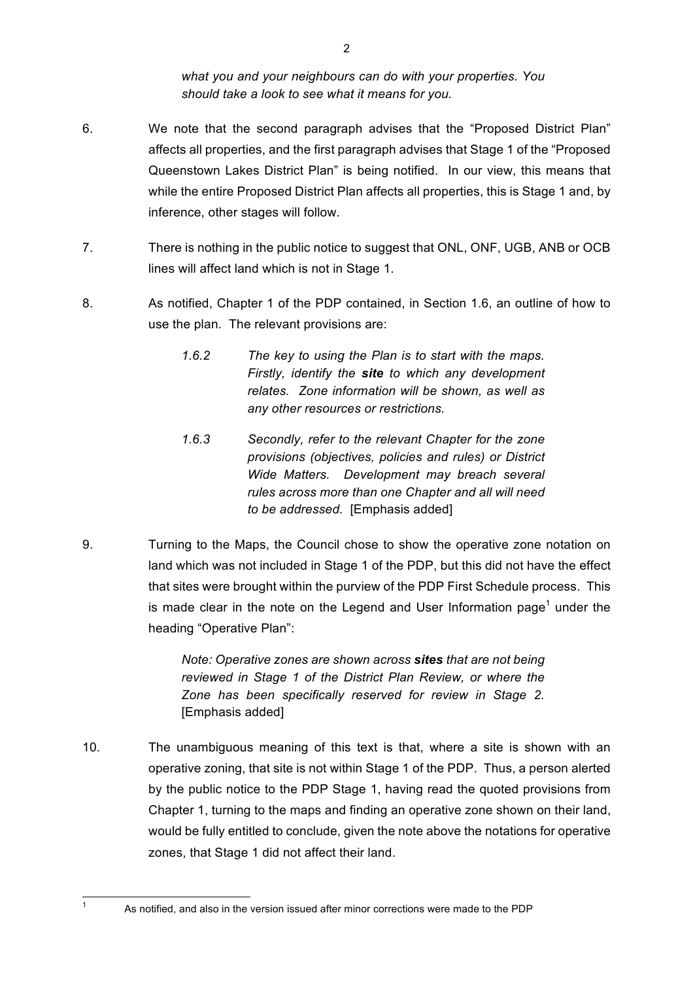*what you and your neighbours can do with your properties. You should take a look to see what it means for you.*

- 6. We note that the second paragraph advises that the "Proposed District Plan" affects all properties, and the first paragraph advises that Stage 1 of the "Proposed Queenstown Lakes District Plan" is being notified. In our view, this means that while the entire Proposed District Plan affects all properties, this is Stage 1 and, by inference, other stages will follow.
- 7. There is nothing in the public notice to suggest that ONL, ONF, UGB, ANB or OCB lines will affect land which is not in Stage 1.
- 8. As notified, Chapter 1 of the PDP contained, in Section 1.6, an outline of how to use the plan. The relevant provisions are:
	- *1.6.2 The key to using the Plan is to start with the maps. Firstly, identify the site to which any development relates. Zone information will be shown, as well as any other resources or restrictions.*
	- *1.6.3 Secondly, refer to the relevant Chapter for the zone provisions (objectives, policies and rules) or District Wide Matters. Development may breach several rules across more than one Chapter and all will need to be addressed.* [Emphasis added]
- 9. Turning to the Maps, the Council chose to show the operative zone notation on land which was not included in Stage 1 of the PDP, but this did not have the effect that sites were brought within the purview of the PDP First Schedule process. This is made clear in the note on the Legend and User Information page<sup>1</sup> under the heading "Operative Plan":

*Note: Operative zones are shown across sites that are not being reviewed in Stage 1 of the District Plan Review, or where the Zone has been specifically reserved for review in Stage 2.*  [Emphasis added]

10. The unambiguous meaning of this text is that, where a site is shown with an operative zoning, that site is not within Stage 1 of the PDP. Thus, a person alerted by the public notice to the PDP Stage 1, having read the quoted provisions from Chapter 1, turning to the maps and finding an operative zone shown on their land, would be fully entitled to conclude, given the note above the notations for operative zones, that Stage 1 did not affect their land.

 $1$  As notified, and also in the version issued after minor corrections were made to the PDP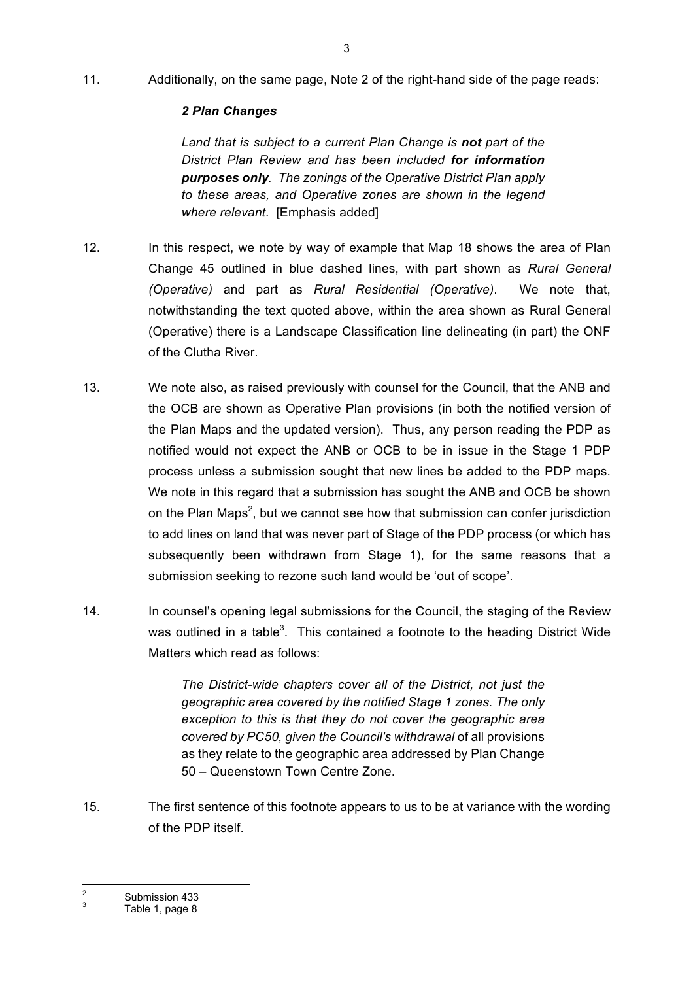11. Additionally, on the same page, Note 2 of the right-hand side of the page reads:

## *2 Plan Changes*

*Land that is subject to a current Plan Change is not part of the District Plan Review and has been included for information purposes only. The zonings of the Operative District Plan apply to these areas, and Operative zones are shown in the legend where relevant*. [Emphasis added]

- 12. In this respect, we note by way of example that Map 18 shows the area of Plan Change 45 outlined in blue dashed lines, with part shown as *Rural General (Operative)* and part as *Rural Residential (Operative)*. We note that, notwithstanding the text quoted above, within the area shown as Rural General (Operative) there is a Landscape Classification line delineating (in part) the ONF of the Clutha River.
- 13. We note also, as raised previously with counsel for the Council, that the ANB and the OCB are shown as Operative Plan provisions (in both the notified version of the Plan Maps and the updated version). Thus, any person reading the PDP as notified would not expect the ANB or OCB to be in issue in the Stage 1 PDP process unless a submission sought that new lines be added to the PDP maps. We note in this regard that a submission has sought the ANB and OCB be shown on the Plan Maps<sup>2</sup>, but we cannot see how that submission can confer jurisdiction to add lines on land that was never part of Stage of the PDP process (or which has subsequently been withdrawn from Stage 1), for the same reasons that a submission seeking to rezone such land would be 'out of scope'.
- 14. In counsel's opening legal submissions for the Council, the staging of the Review was outlined in a table<sup>3</sup>. This contained a footnote to the heading District Wide Matters which read as follows:

*The District-wide chapters cover all of the District, not just the geographic area covered by the notified Stage 1 zones. The only exception to this is that they do not cover the geographic area covered by PC50, given the Council's withdrawal* of all provisions as they relate to the geographic area addressed by Plan Change 50 – Queenstown Town Centre Zone.

15. The first sentence of this footnote appears to us to be at variance with the wording of the PDP itself.

 $\frac{2}{3}$  Submission 433<br>Table 1, page 8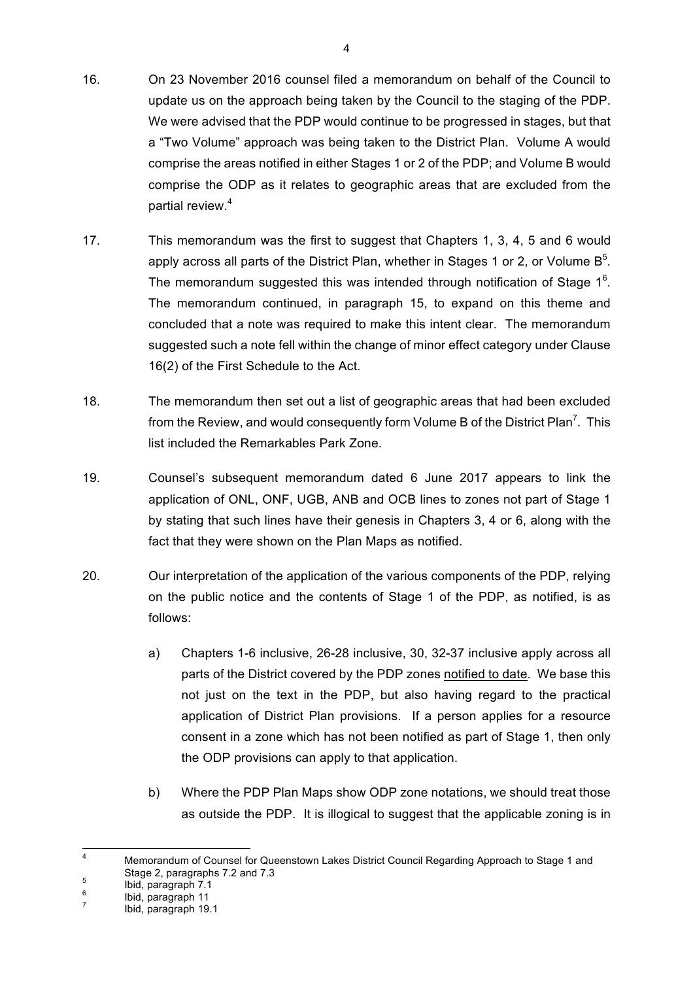- 16. On 23 November 2016 counsel filed a memorandum on behalf of the Council to update us on the approach being taken by the Council to the staging of the PDP. We were advised that the PDP would continue to be progressed in stages, but that a "Two Volume" approach was being taken to the District Plan. Volume A would comprise the areas notified in either Stages 1 or 2 of the PDP; and Volume B would comprise the ODP as it relates to geographic areas that are excluded from the partial review.<sup>4</sup>
- 17. This memorandum was the first to suggest that Chapters 1, 3, 4, 5 and 6 would apply across all parts of the District Plan, whether in Stages 1 or 2, or Volume B<sup>5</sup>. The memorandum suggested this was intended through notification of Stage 1<sup>6</sup>. The memorandum continued, in paragraph 15, to expand on this theme and concluded that a note was required to make this intent clear. The memorandum suggested such a note fell within the change of minor effect category under Clause 16(2) of the First Schedule to the Act.
- 18. The memorandum then set out a list of geographic areas that had been excluded from the Review, and would consequently form Volume B of the District Plan<sup>7</sup>. This list included the Remarkables Park Zone.
- 19. Counsel's subsequent memorandum dated 6 June 2017 appears to link the application of ONL, ONF, UGB, ANB and OCB lines to zones not part of Stage 1 by stating that such lines have their genesis in Chapters 3, 4 or 6, along with the fact that they were shown on the Plan Maps as notified.
- 20. Our interpretation of the application of the various components of the PDP, relying on the public notice and the contents of Stage 1 of the PDP, as notified, is as follows:
	- a) Chapters 1-6 inclusive, 26-28 inclusive, 30, 32-37 inclusive apply across all parts of the District covered by the PDP zones notified to date. We base this not just on the text in the PDP, but also having regard to the practical application of District Plan provisions. If a person applies for a resource consent in a zone which has not been notified as part of Stage 1, then only the ODP provisions can apply to that application.
	- b) Where the PDP Plan Maps show ODP zone notations, we should treat those as outside the PDP. It is illogical to suggest that the applicable zoning is in

 <sup>4</sup> Memorandum of Counsel for Queenstown Lakes District Council Regarding Approach to Stage 1 and Stage 2, paragraphs 7.2 and 7.3<br>  $\frac{6}{7}$  Ibid, paragraph 11<br>  $\frac{7}{7}$  Ibid, paragraph 19.1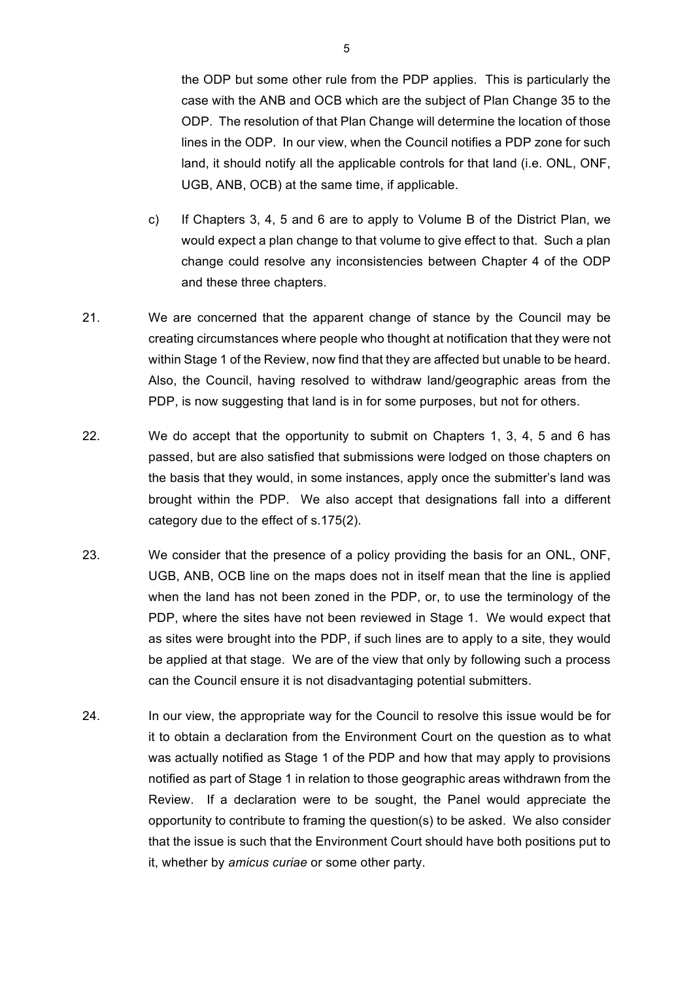the ODP but some other rule from the PDP applies. This is particularly the case with the ANB and OCB which are the subject of Plan Change 35 to the ODP. The resolution of that Plan Change will determine the location of those lines in the ODP. In our view, when the Council notifies a PDP zone for such land, it should notify all the applicable controls for that land (i.e. ONL, ONF, UGB, ANB, OCB) at the same time, if applicable.

- c) If Chapters 3, 4, 5 and 6 are to apply to Volume B of the District Plan, we would expect a plan change to that volume to give effect to that. Such a plan change could resolve any inconsistencies between Chapter 4 of the ODP and these three chapters.
- 21. We are concerned that the apparent change of stance by the Council may be creating circumstances where people who thought at notification that they were not within Stage 1 of the Review, now find that they are affected but unable to be heard. Also, the Council, having resolved to withdraw land/geographic areas from the PDP, is now suggesting that land is in for some purposes, but not for others.
- 22. We do accept that the opportunity to submit on Chapters 1, 3, 4, 5 and 6 has passed, but are also satisfied that submissions were lodged on those chapters on the basis that they would, in some instances, apply once the submitter's land was brought within the PDP. We also accept that designations fall into a different category due to the effect of s.175(2).
- 23. We consider that the presence of a policy providing the basis for an ONL, ONF, UGB, ANB, OCB line on the maps does not in itself mean that the line is applied when the land has not been zoned in the PDP, or, to use the terminology of the PDP, where the sites have not been reviewed in Stage 1. We would expect that as sites were brought into the PDP, if such lines are to apply to a site, they would be applied at that stage. We are of the view that only by following such a process can the Council ensure it is not disadvantaging potential submitters.
- 24. In our view, the appropriate way for the Council to resolve this issue would be for it to obtain a declaration from the Environment Court on the question as to what was actually notified as Stage 1 of the PDP and how that may apply to provisions notified as part of Stage 1 in relation to those geographic areas withdrawn from the Review. If a declaration were to be sought, the Panel would appreciate the opportunity to contribute to framing the question(s) to be asked. We also consider that the issue is such that the Environment Court should have both positions put to it, whether by *amicus curiae* or some other party.